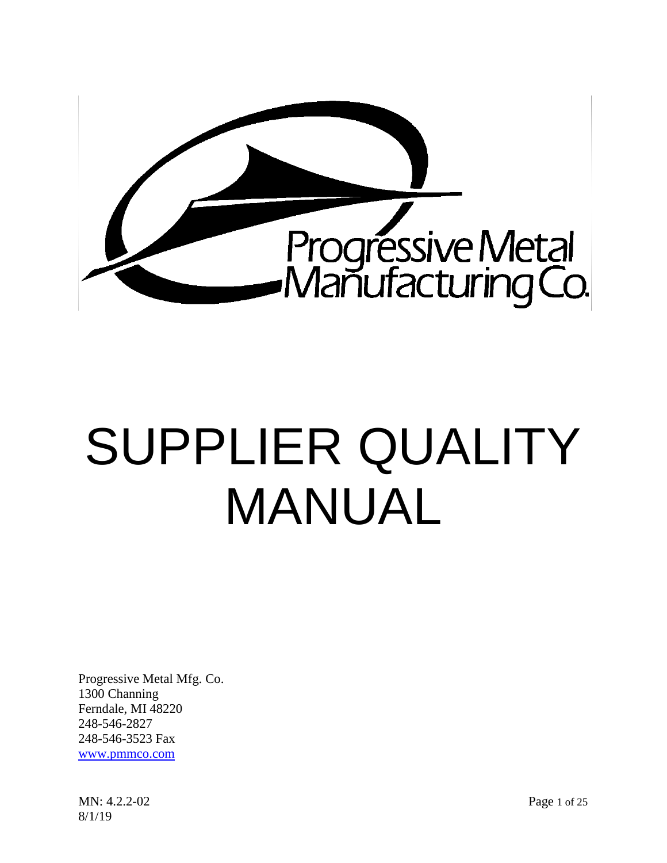

# SUPPLIER QUALITY MANUAL

Progressive Metal Mfg. Co. 1300 Channing Ferndale, MI 48220 248-546-2827 248-546-3523 Fax www.pmmco.com

MN: 4.2.2-02 Page 1 of 25 8/1/19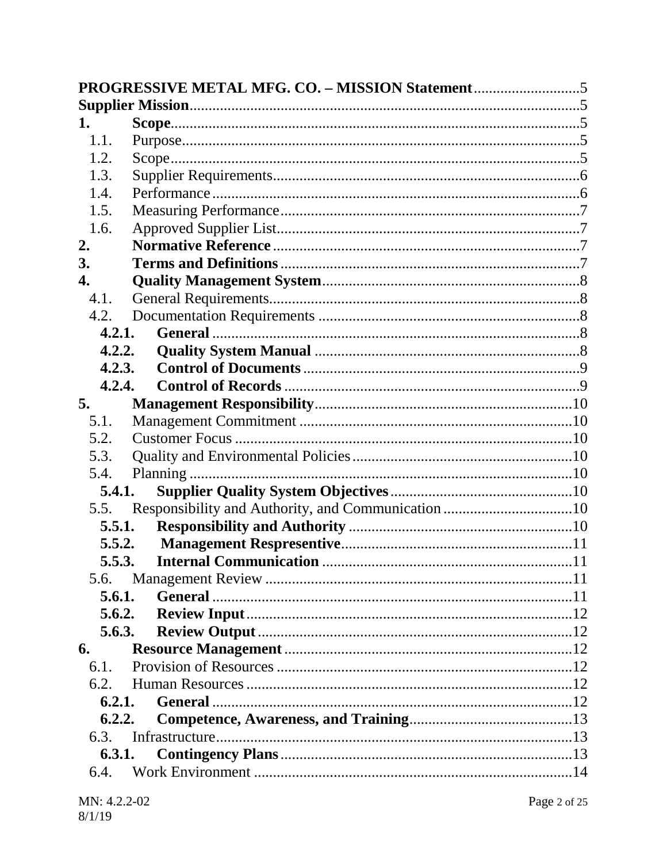| 1.     |  |
|--------|--|
| 1.1.   |  |
| 1.2.   |  |
| 1.3.   |  |
| 1.4.   |  |
| 1.5.   |  |
| 1.6.   |  |
| 2.     |  |
| 3.     |  |
| 4.     |  |
| 4.1.   |  |
| 4.2.   |  |
| 4.2.1. |  |
| 4.2.2. |  |
| 4.2.3. |  |
| 4.2.4. |  |
| 5.     |  |
| 5.1.   |  |
| 5.2.   |  |
| 5.3.   |  |
| 5.4.   |  |
| 5.4.1. |  |
| 5.5.   |  |
| 5.5.1. |  |
| 5.5.2. |  |
| 5.5.3. |  |
| 5.6.   |  |
| 5.6.1. |  |
| 5.6.2. |  |
| 5.6.3. |  |
| 6.     |  |
| 6.1.   |  |
| 6.2.   |  |
| 6.2.1. |  |
| 6.2.2. |  |
| 6.3.   |  |
| 6.3.1. |  |
| 6.4.   |  |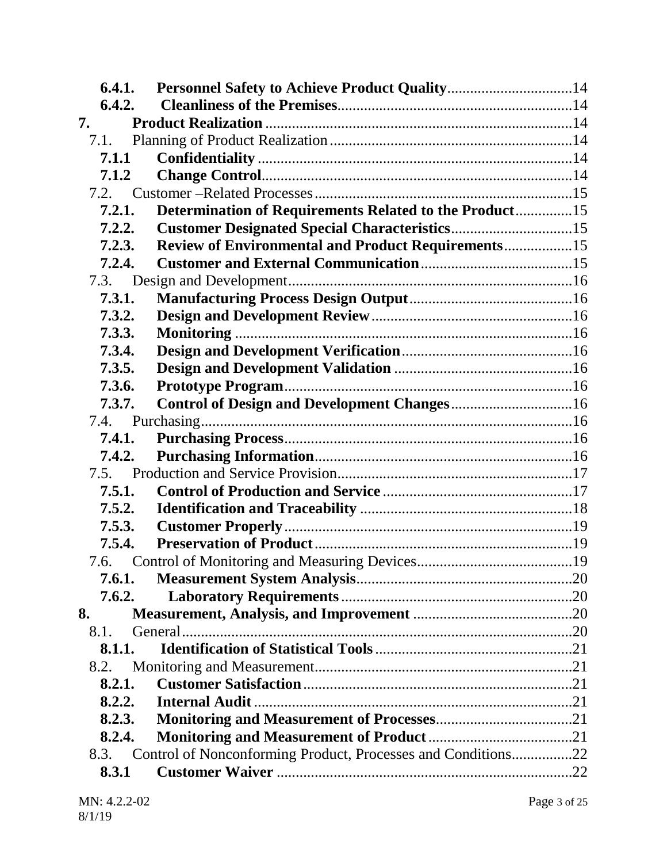|      | 6.4.1. |                                                              |  |
|------|--------|--------------------------------------------------------------|--|
|      | 6.4.2. |                                                              |  |
| 7.   |        |                                                              |  |
|      | 7.1.   |                                                              |  |
|      | 7.1.1  |                                                              |  |
|      | 7.1.2  |                                                              |  |
|      |        |                                                              |  |
|      | 7.2.1. | Determination of Requirements Related to the Product15       |  |
|      | 7.2.2. |                                                              |  |
|      | 7.2.3. | <b>Review of Environmental and Product Requirements15</b>    |  |
|      | 7.2.4. |                                                              |  |
|      |        |                                                              |  |
|      | 7.3.1. |                                                              |  |
|      | 7.3.2. |                                                              |  |
|      | 7.3.3. |                                                              |  |
|      | 7.3.4. |                                                              |  |
|      | 7.3.5. |                                                              |  |
|      | 7.3.6. |                                                              |  |
|      | 7.3.7. |                                                              |  |
|      |        |                                                              |  |
|      | 7.4.1. |                                                              |  |
|      | 7.4.2. |                                                              |  |
|      |        |                                                              |  |
|      | 7.5.1. |                                                              |  |
|      | 7.5.2. |                                                              |  |
|      | 7.5.3. |                                                              |  |
|      | 7.5.4. |                                                              |  |
|      |        |                                                              |  |
|      | 7.6.1. |                                                              |  |
|      | 7.6.2. |                                                              |  |
| 8.   |        |                                                              |  |
| 8.1. |        |                                                              |  |
|      | 8.1.1. |                                                              |  |
|      | 8.2.   |                                                              |  |
|      | 8.2.1. |                                                              |  |
|      | 8.2.2. |                                                              |  |
|      | 8.2.3. |                                                              |  |
|      | 8.2.4. |                                                              |  |
|      | 8.3.   | Control of Nonconforming Product, Processes and Conditions22 |  |
|      | 8.3.1  |                                                              |  |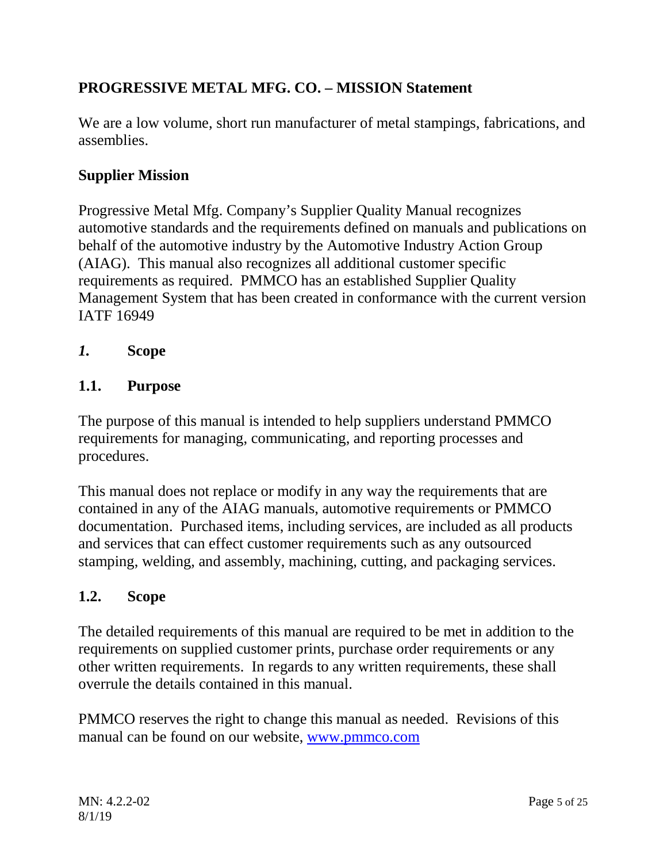# <span id="page-4-0"></span>**PROGRESSIVE METAL MFG. CO. – MISSION Statement**

We are a low volume, short run manufacturer of metal stampings, fabrications, and assemblies.

# <span id="page-4-1"></span>**Supplier Mission**

Progressive Metal Mfg. Company's Supplier Quality Manual recognizes automotive standards and the requirements defined on manuals and publications on behalf of the automotive industry by the Automotive Industry Action Group (AIAG). This manual also recognizes all additional customer specific requirements as required. PMMCO has an established Supplier Quality Management System that has been created in conformance with the current version IATF 16949

<span id="page-4-2"></span>*1.* **Scope**

#### <span id="page-4-3"></span>**1.1. Purpose**

The purpose of this manual is intended to help suppliers understand PMMCO requirements for managing, communicating, and reporting processes and procedures.

This manual does not replace or modify in any way the requirements that are contained in any of the AIAG manuals, automotive requirements or PMMCO documentation. Purchased items, including services, are included as all products and services that can effect customer requirements such as any outsourced stamping, welding, and assembly, machining, cutting, and packaging services.

## <span id="page-4-4"></span>**1.2. Scope**

The detailed requirements of this manual are required to be met in addition to the requirements on supplied customer prints, purchase order requirements or any other written requirements. In regards to any written requirements, these shall overrule the details contained in this manual.

PMMCO reserves the right to change this manual as needed. Revisions of this manual can be found on our website, [www.pmmco.com](http://www.pmmco.com/)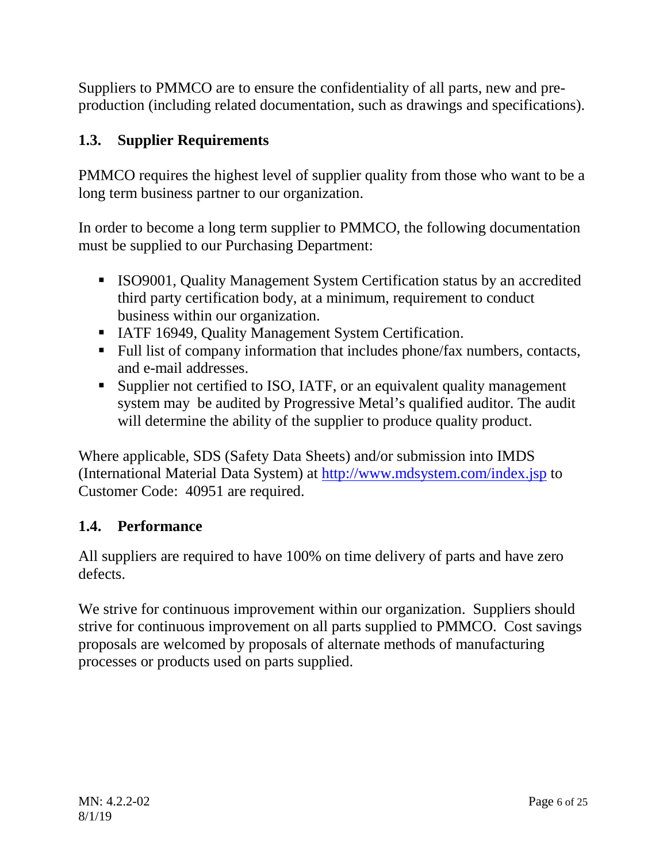Suppliers to PMMCO are to ensure the confidentiality of all parts, new and preproduction (including related documentation, such as drawings and specifications).

# <span id="page-5-0"></span>**1.3. Supplier Requirements**

PMMCO requires the highest level of supplier quality from those who want to be a long term business partner to our organization.

In order to become a long term supplier to PMMCO, the following documentation must be supplied to our Purchasing Department:

- ISO9001, Quality Management System Certification status by an accredited third party certification body, at a minimum, requirement to conduct business within our organization.
- **IATF 16949, Quality Management System Certification.**
- Full list of company information that includes phone/fax numbers, contacts, and e-mail addresses.
- Supplier not certified to ISO, IATF, or an equivalent quality management system may be audited by Progressive Metal's qualified auditor. The audit will determine the ability of the supplier to produce quality product.

Where applicable, SDS (Safety Data Sheets) and/or submission into IMDS (International Material Data System) at<http://www.mdsystem.com/index.jsp> to Customer Code: 40951 are required.

# <span id="page-5-1"></span>**1.4. Performance**

All suppliers are required to have 100% on time delivery of parts and have zero defects.

We strive for continuous improvement within our organization. Suppliers should strive for continuous improvement on all parts supplied to PMMCO. Cost savings proposals are welcomed by proposals of alternate methods of manufacturing processes or products used on parts supplied.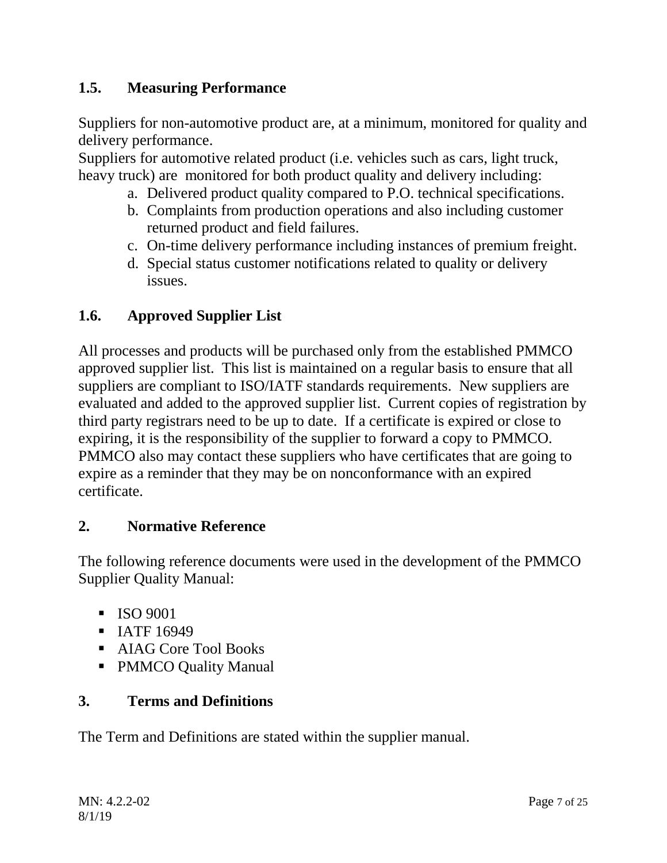# <span id="page-6-0"></span>**1.5. Measuring Performance**

Suppliers for non-automotive product are, at a minimum, monitored for quality and delivery performance.

Suppliers for automotive related product (i.e. vehicles such as cars, light truck, heavy truck) are monitored for both product quality and delivery including:

- a. Delivered product quality compared to P.O. technical specifications.
- b. Complaints from production operations and also including customer returned product and field failures.
- c. On-time delivery performance including instances of premium freight.
- d. Special status customer notifications related to quality or delivery issues.

## <span id="page-6-1"></span>**1.6. Approved Supplier List**

All processes and products will be purchased only from the established PMMCO approved supplier list. This list is maintained on a regular basis to ensure that all suppliers are compliant to ISO/IATF standards requirements. New suppliers are evaluated and added to the approved supplier list. Current copies of registration by third party registrars need to be up to date. If a certificate is expired or close to expiring, it is the responsibility of the supplier to forward a copy to PMMCO. PMMCO also may contact these suppliers who have certificates that are going to expire as a reminder that they may be on nonconformance with an expired certificate.

## <span id="page-6-2"></span>**2. Normative Reference**

The following reference documents were used in the development of the PMMCO Supplier Quality Manual:

- $\blacksquare$  ISO 9001
- **IATF** 16949
- **AIAG Core Tool Books**
- PMMCO Quality Manual

## <span id="page-6-3"></span>**3. Terms and Definitions**

The Term and Definitions are stated within the supplier manual.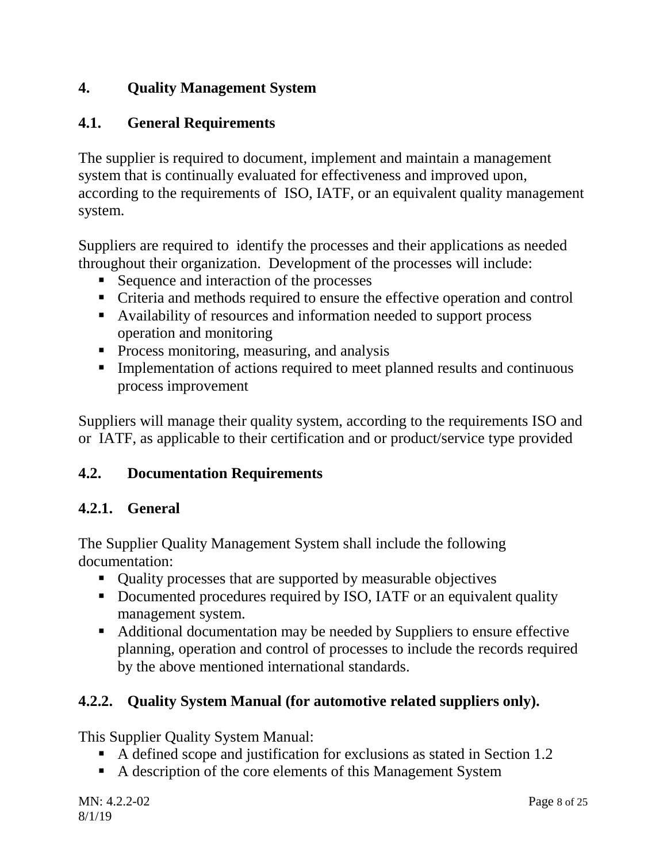# <span id="page-7-0"></span>**4. Quality Management System**

# <span id="page-7-1"></span>**4.1. General Requirements**

The supplier is required to document, implement and maintain a management system that is continually evaluated for effectiveness and improved upon, according to the requirements of ISO, IATF, or an equivalent quality management system.

Suppliers are required to identify the processes and their applications as needed throughout their organization. Development of the processes will include:

- Sequence and interaction of the processes
- Criteria and methods required to ensure the effective operation and control
- Availability of resources and information needed to support process operation and monitoring
- **Process monitoring, measuring, and analysis**
- **Implementation of actions required to meet planned results and continuous** process improvement

Suppliers will manage their quality system, according to the requirements ISO and or IATF, as applicable to their certification and or product/service type provided

# <span id="page-7-2"></span>**4.2. Documentation Requirements**

# <span id="page-7-3"></span>**4.2.1. General**

The Supplier Quality Management System shall include the following documentation:

- Quality processes that are supported by measurable objectives
- Documented procedures required by ISO, IATF or an equivalent quality management system.
- Additional documentation may be needed by Suppliers to ensure effective planning, operation and control of processes to include the records required by the above mentioned international standards.

# <span id="page-7-4"></span>**4.2.2. Quality System Manual (for automotive related suppliers only).**

This Supplier Quality System Manual:

- A defined scope and justification for exclusions as stated in Section 1.2
- A description of the core elements of this Management System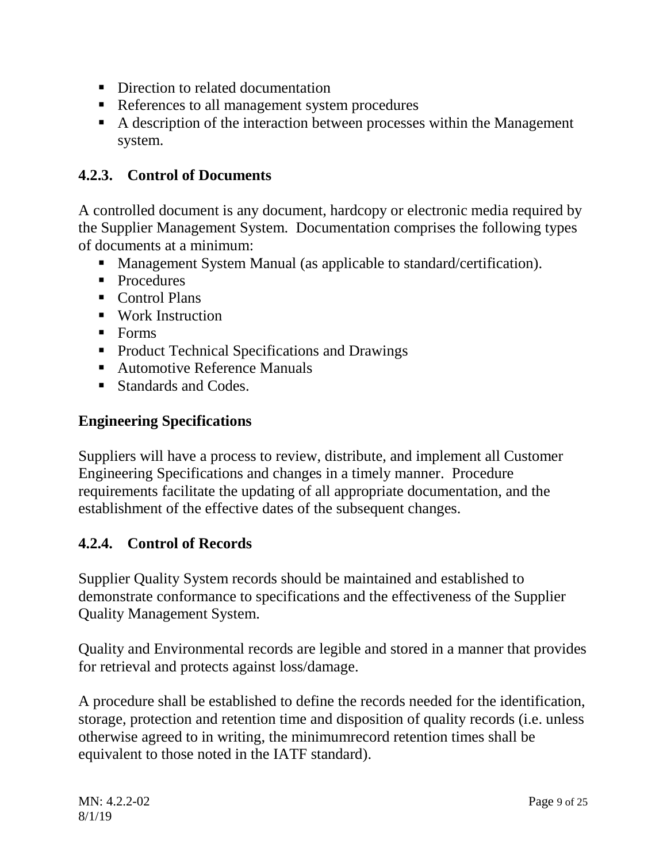- Direction to related documentation
- References to all management system procedures
- A description of the interaction between processes within the Management system.

# <span id="page-8-0"></span>**4.2.3. Control of Documents**

A controlled document is any document, hardcopy or electronic media required by the Supplier Management System. Documentation comprises the following types of documents at a minimum:

- Management System Manual (as applicable to standard/certification).
- Procedures
- Control Plans
- **Work Instruction**
- $\blacksquare$  Forms
- **Product Technical Specifications and Drawings**
- Automotive Reference Manuals
- Standards and Codes.

## **Engineering Specifications**

Suppliers will have a process to review, distribute, and implement all Customer Engineering Specifications and changes in a timely manner. Procedure requirements facilitate the updating of all appropriate documentation, and the establishment of the effective dates of the subsequent changes.

# <span id="page-8-1"></span>**4.2.4. Control of Records**

Supplier Quality System records should be maintained and established to demonstrate conformance to specifications and the effectiveness of the Supplier Quality Management System.

Quality and Environmental records are legible and stored in a manner that provides for retrieval and protects against loss/damage.

A procedure shall be established to define the records needed for the identification, storage, protection and retention time and disposition of quality records (i.e. unless otherwise agreed to in writing, the minimumrecord retention times shall be equivalent to those noted in the IATF standard).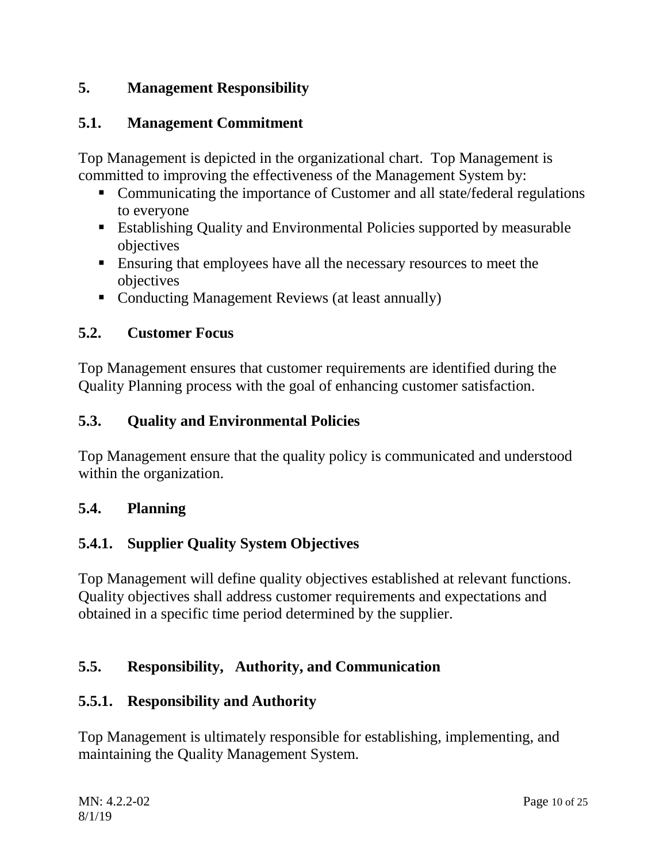# <span id="page-9-0"></span>**5. Management Responsibility**

## <span id="page-9-1"></span>**5.1. Management Commitment**

Top Management is depicted in the organizational chart. Top Management is committed to improving the effectiveness of the Management System by:

- Communicating the importance of Customer and all state/federal regulations to everyone
- Establishing Quality and Environmental Policies supported by measurable objectives
- Ensuring that employees have all the necessary resources to meet the objectives
- Conducting Management Reviews (at least annually)

#### <span id="page-9-2"></span>**5.2. Customer Focus**

Top Management ensures that customer requirements are identified during the Quality Planning process with the goal of enhancing customer satisfaction.

## <span id="page-9-3"></span>**5.3. Quality and Environmental Policies**

Top Management ensure that the quality policy is communicated and understood within the organization.

## <span id="page-9-4"></span>**5.4. Planning**

## <span id="page-9-5"></span>**5.4.1. Supplier Quality System Objectives**

Top Management will define quality objectives established at relevant functions. Quality objectives shall address customer requirements and expectations and obtained in a specific time period determined by the supplier.

## <span id="page-9-6"></span>**5.5. Responsibility, Authority, and Communication**

## <span id="page-9-7"></span>**5.5.1. Responsibility and Authority**

Top Management is ultimately responsible for establishing, implementing, and maintaining the Quality Management System.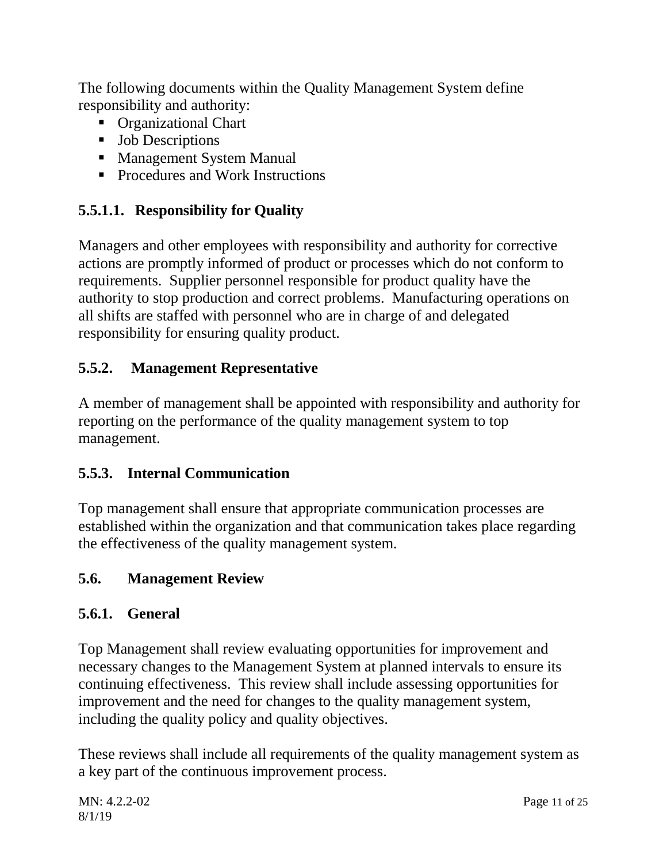The following documents within the Quality Management System define responsibility and authority:

- **•** Organizational Chart
- **Job Descriptions**
- **Management System Manual**
- **Procedures and Work Instructions**

# **5.5.1.1. Responsibility for Quality**

Managers and other employees with responsibility and authority for corrective actions are promptly informed of product or processes which do not conform to requirements. Supplier personnel responsible for product quality have the authority to stop production and correct problems. Manufacturing operations on all shifts are staffed with personnel who are in charge of and delegated responsibility for ensuring quality product.

# <span id="page-10-0"></span>**5.5.2. Management Representative**

A member of management shall be appointed with responsibility and authority for reporting on the performance of the quality management system to top management.

# <span id="page-10-1"></span>**5.5.3. Internal Communication**

Top management shall ensure that appropriate communication processes are established within the organization and that communication takes place regarding the effectiveness of the quality management system.

# <span id="page-10-2"></span>**5.6. Management Review**

# <span id="page-10-3"></span>**5.6.1. General**

Top Management shall review evaluating opportunities for improvement and necessary changes to the Management System at planned intervals to ensure its continuing effectiveness. This review shall include assessing opportunities for improvement and the need for changes to the quality management system, including the quality policy and quality objectives.

These reviews shall include all requirements of the quality management system as a key part of the continuous improvement process.

MN: 4.2.2-02 Page 11 of 25 8/1/19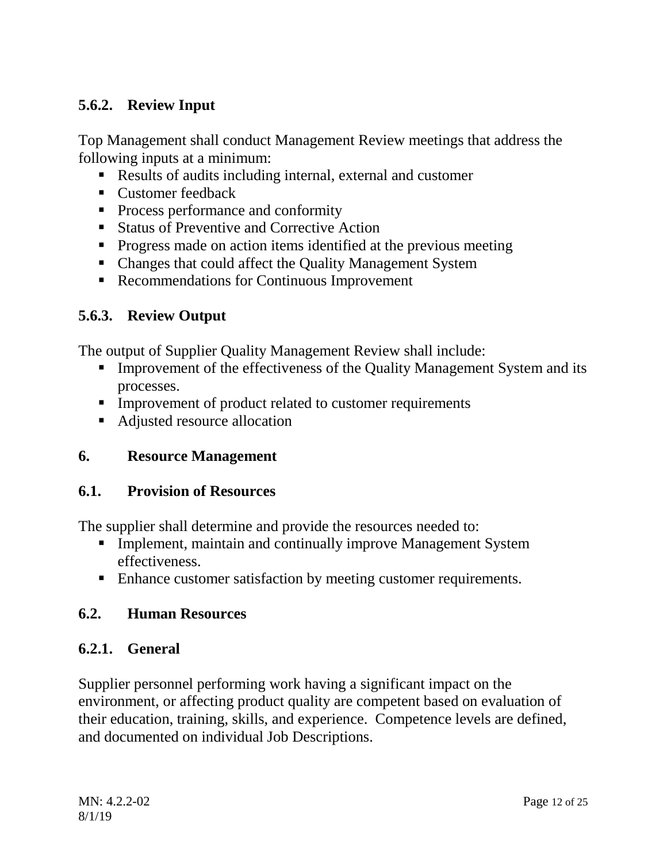# <span id="page-11-0"></span>**5.6.2. Review Input**

Top Management shall conduct Management Review meetings that address the following inputs at a minimum:

- Results of audits including internal, external and customer
- **Customer feedback**
- Process performance and conformity
- Status of Preventive and Corrective Action
- **Progress made on action items identified at the previous meeting**
- Changes that could affect the Quality Management System
- Recommendations for Continuous Improvement

## <span id="page-11-1"></span>**5.6.3. Review Output**

The output of Supplier Quality Management Review shall include:

- **Improvement of the effectiveness of the Quality Management System and its** processes.
- **Improvement of product related to customer requirements**
- Adjusted resource allocation

## <span id="page-11-2"></span>**6. Resource Management**

## <span id="page-11-3"></span>**6.1. Provision of Resources**

The supplier shall determine and provide the resources needed to:

- **Implement, maintain and continually improve Management System** effectiveness.
- Enhance customer satisfaction by meeting customer requirements.

## <span id="page-11-4"></span>**6.2. Human Resources**

## <span id="page-11-5"></span>**6.2.1. General**

Supplier personnel performing work having a significant impact on the environment, or affecting product quality are competent based on evaluation of their education, training, skills, and experience. Competence levels are defined, and documented on individual Job Descriptions.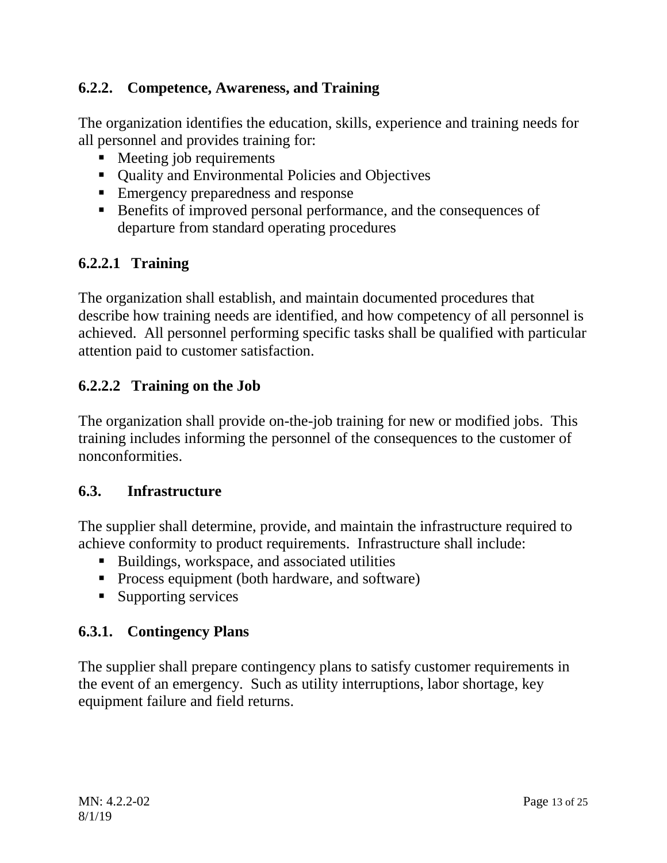# <span id="page-12-0"></span>**6.2.2. Competence, Awareness, and Training**

The organization identifies the education, skills, experience and training needs for all personnel and provides training for:

- Meeting job requirements
- Ouality and Environmental Policies and Objectives
- **Emergency preparedness and response**
- Benefits of improved personal performance, and the consequences of departure from standard operating procedures

# **6.2.2.1 Training**

The organization shall establish, and maintain documented procedures that describe how training needs are identified, and how competency of all personnel is achieved. All personnel performing specific tasks shall be qualified with particular attention paid to customer satisfaction.

# **6.2.2.2 Training on the Job**

The organization shall provide on-the-job training for new or modified jobs. This training includes informing the personnel of the consequences to the customer of nonconformities.

## <span id="page-12-1"></span>**6.3. Infrastructure**

The supplier shall determine, provide, and maintain the infrastructure required to achieve conformity to product requirements. Infrastructure shall include:

- Buildings, workspace, and associated utilities
- **Process equipment (both hardware, and software)**
- Supporting services

# <span id="page-12-2"></span>**6.3.1. Contingency Plans**

The supplier shall prepare contingency plans to satisfy customer requirements in the event of an emergency. Such as utility interruptions, labor shortage, key equipment failure and field returns.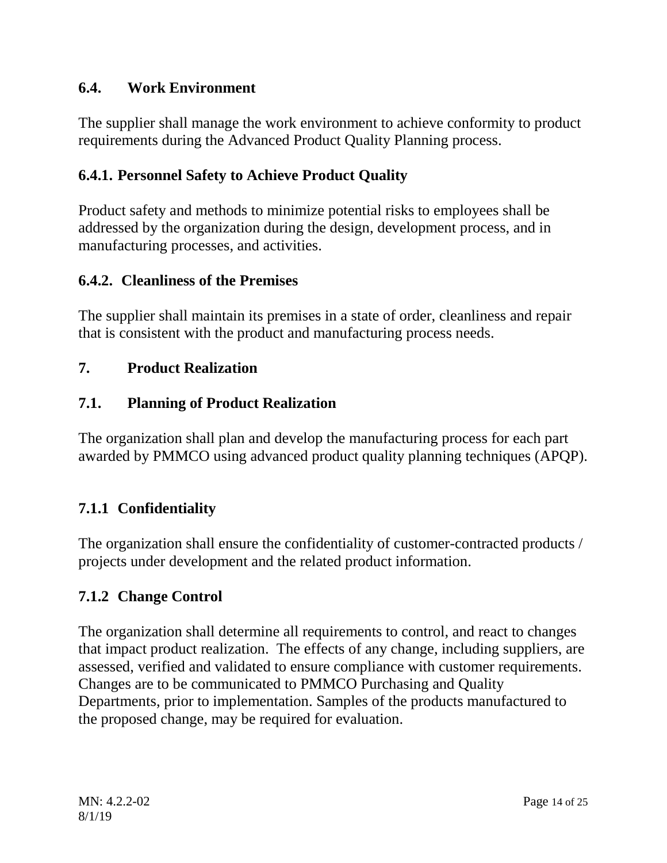# <span id="page-13-0"></span>**6.4. Work Environment**

The supplier shall manage the work environment to achieve conformity to product requirements during the Advanced Product Quality Planning process.

# <span id="page-13-1"></span>**6.4.1. Personnel Safety to Achieve Product Quality**

Product safety and methods to minimize potential risks to employees shall be addressed by the organization during the design, development process, and in manufacturing processes, and activities.

## <span id="page-13-2"></span>**6.4.2. Cleanliness of the Premises**

The supplier shall maintain its premises in a state of order, cleanliness and repair that is consistent with the product and manufacturing process needs.

## <span id="page-13-3"></span>**7. Product Realization**

## <span id="page-13-4"></span>**7.1. Planning of Product Realization**

The organization shall plan and develop the manufacturing process for each part awarded by PMMCO using advanced product quality planning techniques (APQP).

# <span id="page-13-5"></span>**7.1.1 Confidentiality**

The organization shall ensure the confidentiality of customer-contracted products / projects under development and the related product information.

## <span id="page-13-6"></span>**7.1.2 Change Control**

The organization shall determine all requirements to control, and react to changes that impact product realization. The effects of any change, including suppliers, are assessed, verified and validated to ensure compliance with customer requirements. Changes are to be communicated to PMMCO Purchasing and Quality Departments, prior to implementation. Samples of the products manufactured to the proposed change, may be required for evaluation.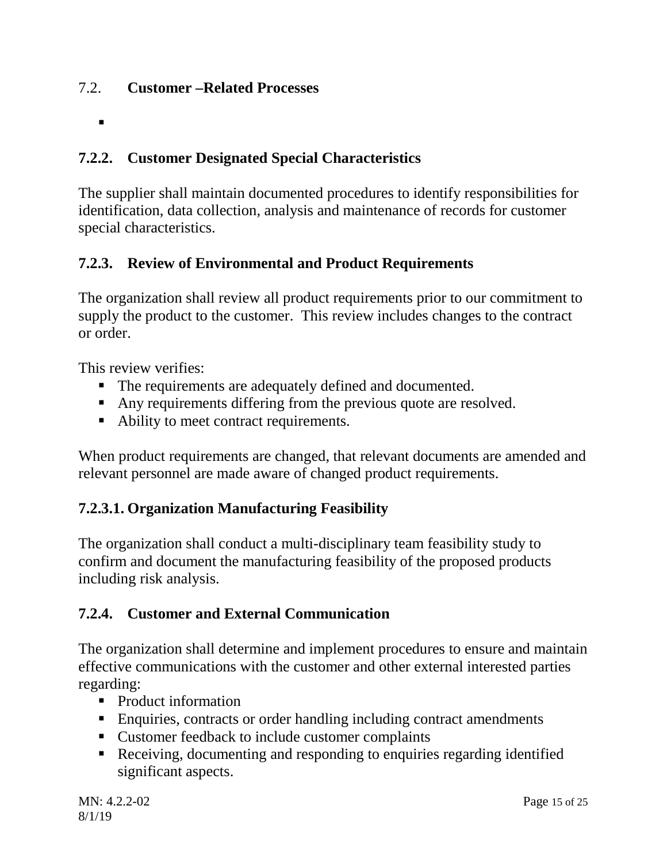## <span id="page-14-1"></span><span id="page-14-0"></span>7.2. **Customer –Related Processes**

 $\blacksquare$ 

# <span id="page-14-2"></span>**7.2.2. Customer Designated Special Characteristics**

The supplier shall maintain documented procedures to identify responsibilities for identification, data collection, analysis and maintenance of records for customer special characteristics.

# <span id="page-14-3"></span>**7.2.3. Review of Environmental and Product Requirements**

The organization shall review all product requirements prior to our commitment to supply the product to the customer. This review includes changes to the contract or order.

This review verifies:

- The requirements are adequately defined and documented.
- Any requirements differing from the previous quote are resolved.
- Ability to meet contract requirements.

When product requirements are changed, that relevant documents are amended and relevant personnel are made aware of changed product requirements.

# **7.2.3.1. Organization Manufacturing Feasibility**

The organization shall conduct a multi-disciplinary team feasibility study to confirm and document the manufacturing feasibility of the proposed products including risk analysis.

# <span id="page-14-4"></span>**7.2.4. Customer and External Communication**

The organization shall determine and implement procedures to ensure and maintain effective communications with the customer and other external interested parties regarding:

- Product information
- **Enquiries, contracts or order handling including contract amendments**
- Customer feedback to include customer complaints
- Receiving, documenting and responding to enquiries regarding identified significant aspects.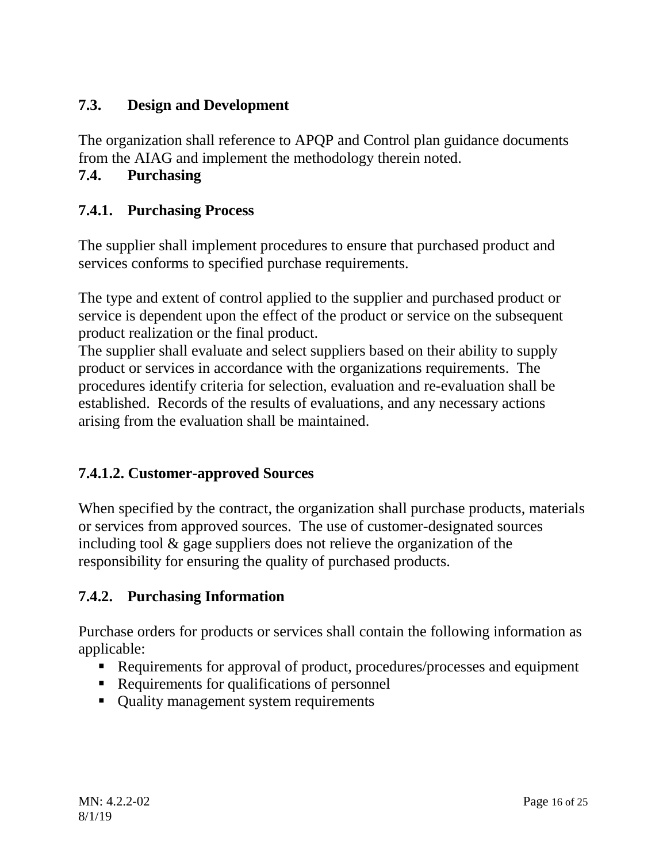# <span id="page-15-0"></span>**7.3. Design and Development**

<span id="page-15-1"></span>The organization shall reference to APQP and Control plan guidance documents from the AIAG and implement the methodology therein noted.

# <span id="page-15-2"></span>**7.4. Purchasing**

## <span id="page-15-3"></span>**7.4.1. Purchasing Process**

The supplier shall implement procedures to ensure that purchased product and services conforms to specified purchase requirements.

The type and extent of control applied to the supplier and purchased product or service is dependent upon the effect of the product or service on the subsequent product realization or the final product.

The supplier shall evaluate and select suppliers based on their ability to supply product or services in accordance with the organizations requirements. The procedures identify criteria for selection, evaluation and re-evaluation shall be established. Records of the results of evaluations, and any necessary actions arising from the evaluation shall be maintained.

## **7.4.1.2. Customer-approved Sources**

When specified by the contract, the organization shall purchase products, materials or services from approved sources. The use of customer-designated sources including tool & gage suppliers does not relieve the organization of the responsibility for ensuring the quality of purchased products.

## <span id="page-15-4"></span>**7.4.2. Purchasing Information**

Purchase orders for products or services shall contain the following information as applicable:

- Requirements for approval of product, procedures/processes and equipment
- Requirements for qualifications of personnel
- Quality management system requirements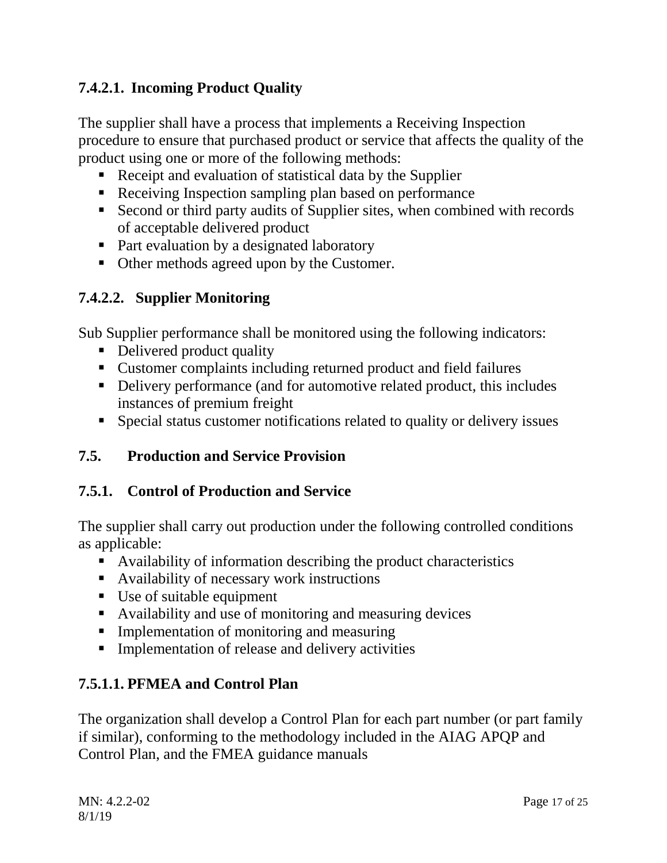# **7.4.2.1. Incoming Product Quality**

The supplier shall have a process that implements a Receiving Inspection procedure to ensure that purchased product or service that affects the quality of the product using one or more of the following methods:

- Receipt and evaluation of statistical data by the Supplier
- Receiving Inspection sampling plan based on performance
- Second or third party audits of Supplier sites, when combined with records of acceptable delivered product
- Part evaluation by a designated laboratory
- Other methods agreed upon by the Customer.

## **7.4.2.2. Supplier Monitoring**

Sub Supplier performance shall be monitored using the following indicators:

- Delivered product quality
- Customer complaints including returned product and field failures
- Delivery performance (and for automotive related product, this includes instances of premium freight
- Special status customer notifications related to quality or delivery issues

## <span id="page-16-0"></span>**7.5. Production and Service Provision**

## <span id="page-16-1"></span>**7.5.1. Control of Production and Service**

The supplier shall carry out production under the following controlled conditions as applicable:

- Availability of information describing the product characteristics
- Availability of necessary work instructions
- Use of suitable equipment
- Availability and use of monitoring and measuring devices
- **Implementation of monitoring and measuring**
- **Implementation of release and delivery activities**

## **7.5.1.1. PFMEA and Control Plan**

The organization shall develop a Control Plan for each part number (or part family if similar), conforming to the methodology included in the AIAG APQP and Control Plan, and the FMEA guidance manuals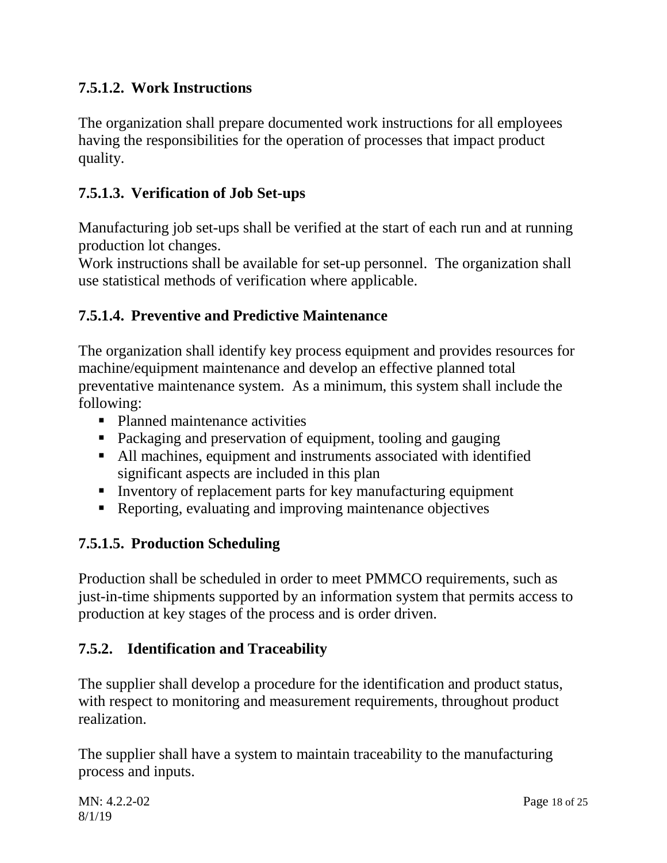# **7.5.1.2. Work Instructions**

The organization shall prepare documented work instructions for all employees having the responsibilities for the operation of processes that impact product quality.

## **7.5.1.3. Verification of Job Set-ups**

Manufacturing job set-ups shall be verified at the start of each run and at running production lot changes.

Work instructions shall be available for set-up personnel. The organization shall use statistical methods of verification where applicable.

## **7.5.1.4. Preventive and Predictive Maintenance**

The organization shall identify key process equipment and provides resources for machine/equipment maintenance and develop an effective planned total preventative maintenance system. As a minimum, this system shall include the following:

- Planned maintenance activities
- Packaging and preservation of equipment, tooling and gauging
- All machines, equipment and instruments associated with identified significant aspects are included in this plan
- Inventory of replacement parts for key manufacturing equipment
- Reporting, evaluating and improving maintenance objectives

## **7.5.1.5. Production Scheduling**

Production shall be scheduled in order to meet PMMCO requirements, such as just-in-time shipments supported by an information system that permits access to production at key stages of the process and is order driven.

## <span id="page-17-0"></span>**7.5.2. Identification and Traceability**

The supplier shall develop a procedure for the identification and product status, with respect to monitoring and measurement requirements, throughout product realization.

The supplier shall have a system to maintain traceability to the manufacturing process and inputs.

MN: 4.2.2-02 Page 18 of 25 8/1/19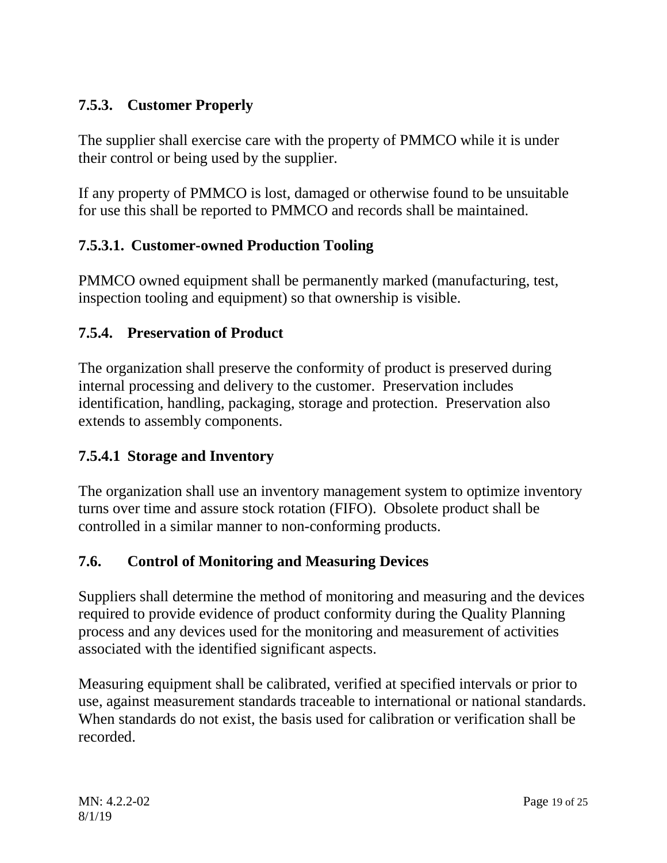# <span id="page-18-0"></span>**7.5.3. Customer Properly**

The supplier shall exercise care with the property of PMMCO while it is under their control or being used by the supplier.

If any property of PMMCO is lost, damaged or otherwise found to be unsuitable for use this shall be reported to PMMCO and records shall be maintained.

# **7.5.3.1. Customer-owned Production Tooling**

PMMCO owned equipment shall be permanently marked (manufacturing, test, inspection tooling and equipment) so that ownership is visible.

# <span id="page-18-1"></span>**7.5.4. Preservation of Product**

The organization shall preserve the conformity of product is preserved during internal processing and delivery to the customer. Preservation includes identification, handling, packaging, storage and protection. Preservation also extends to assembly components.

# **7.5.4.1 Storage and Inventory**

The organization shall use an inventory management system to optimize inventory turns over time and assure stock rotation (FIFO). Obsolete product shall be controlled in a similar manner to non-conforming products.

# <span id="page-18-2"></span>**7.6. Control of Monitoring and Measuring Devices**

Suppliers shall determine the method of monitoring and measuring and the devices required to provide evidence of product conformity during the Quality Planning process and any devices used for the monitoring and measurement of activities associated with the identified significant aspects.

Measuring equipment shall be calibrated, verified at specified intervals or prior to use, against measurement standards traceable to international or national standards. When standards do not exist, the basis used for calibration or verification shall be recorded.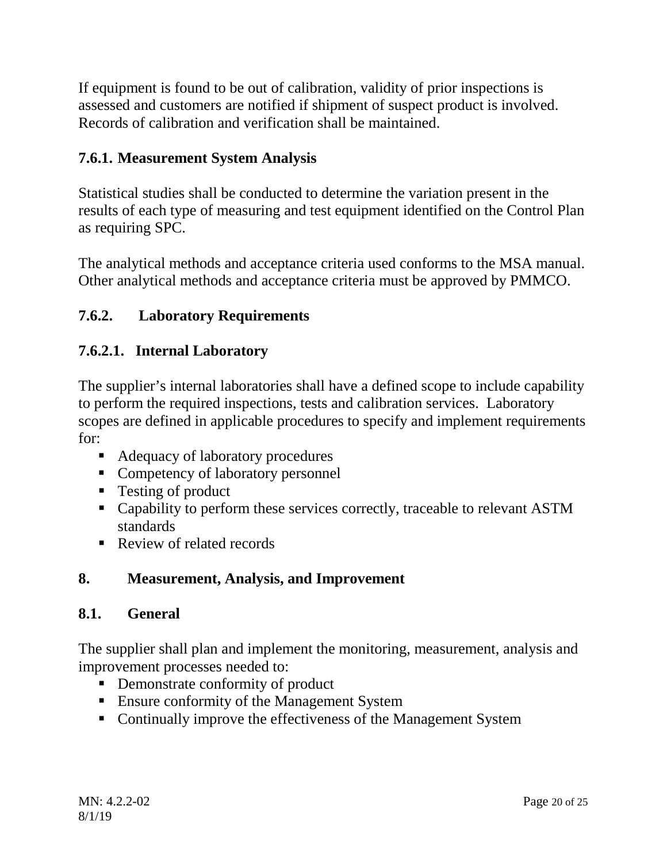If equipment is found to be out of calibration, validity of prior inspections is assessed and customers are notified if shipment of suspect product is involved. Records of calibration and verification shall be maintained.

# <span id="page-19-0"></span>**7.6.1. Measurement System Analysis**

Statistical studies shall be conducted to determine the variation present in the results of each type of measuring and test equipment identified on the Control Plan as requiring SPC.

The analytical methods and acceptance criteria used conforms to the MSA manual. Other analytical methods and acceptance criteria must be approved by PMMCO.

# <span id="page-19-1"></span>**7.6.2. Laboratory Requirements**

# **7.6.2.1. Internal Laboratory**

The supplier's internal laboratories shall have a defined scope to include capability to perform the required inspections, tests and calibration services. Laboratory scopes are defined in applicable procedures to specify and implement requirements for:

- Adequacy of laboratory procedures
- Competency of laboratory personnel
- Testing of product
- Capability to perform these services correctly, traceable to relevant ASTM standards
- Review of related records

## <span id="page-19-2"></span>**8. Measurement, Analysis, and Improvement**

## <span id="page-19-3"></span>**8.1. General**

The supplier shall plan and implement the monitoring, measurement, analysis and improvement processes needed to:

- Demonstrate conformity of product
- Ensure conformity of the Management System
- Continually improve the effectiveness of the Management System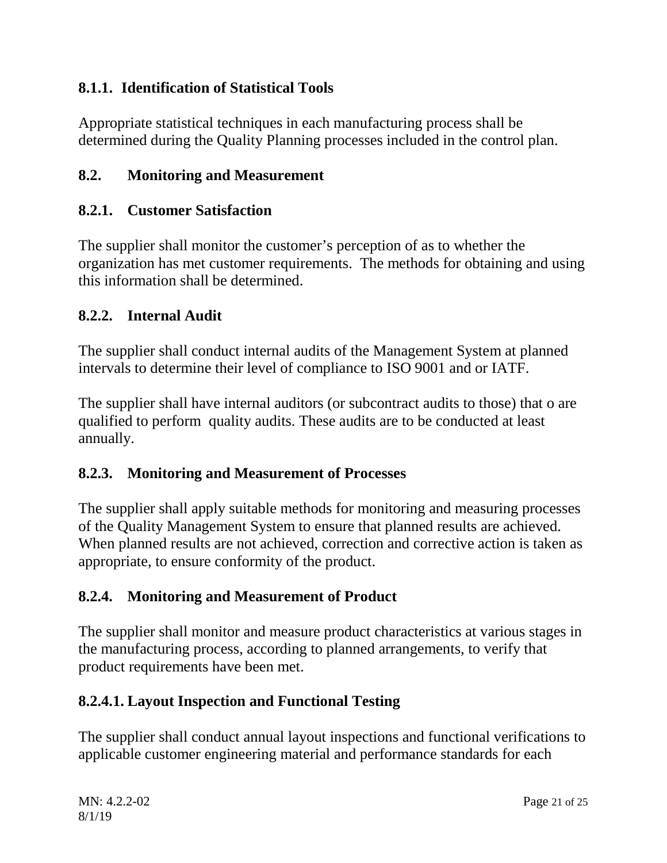# <span id="page-20-0"></span>**8.1.1. Identification of Statistical Tools**

Appropriate statistical techniques in each manufacturing process shall be determined during the Quality Planning processes included in the control plan.

# <span id="page-20-1"></span>**8.2. Monitoring and Measurement**

## <span id="page-20-2"></span>**8.2.1. Customer Satisfaction**

The supplier shall monitor the customer's perception of as to whether the organization has met customer requirements. The methods for obtaining and using this information shall be determined.

## <span id="page-20-3"></span>**8.2.2. Internal Audit**

The supplier shall conduct internal audits of the Management System at planned intervals to determine their level of compliance to ISO 9001 and or IATF.

The supplier shall have internal auditors (or subcontract audits to those) that o are qualified to perform quality audits. These audits are to be conducted at least annually.

## <span id="page-20-4"></span>**8.2.3. Monitoring and Measurement of Processes**

The supplier shall apply suitable methods for monitoring and measuring processes of the Quality Management System to ensure that planned results are achieved. When planned results are not achieved, correction and corrective action is taken as appropriate, to ensure conformity of the product.

# <span id="page-20-5"></span>**8.2.4. Monitoring and Measurement of Product**

The supplier shall monitor and measure product characteristics at various stages in the manufacturing process, according to planned arrangements, to verify that product requirements have been met.

# **8.2.4.1. Layout Inspection and Functional Testing**

The supplier shall conduct annual layout inspections and functional verifications to applicable customer engineering material and performance standards for each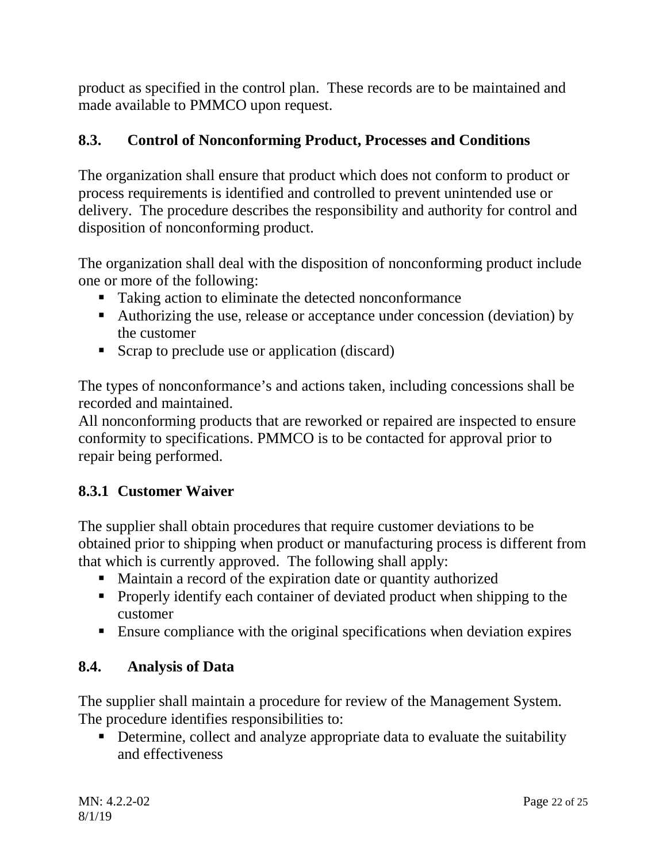product as specified in the control plan. These records are to be maintained and made available to PMMCO upon request.

# <span id="page-21-0"></span>**8.3. Control of Nonconforming Product, Processes and Conditions**

The organization shall ensure that product which does not conform to product or process requirements is identified and controlled to prevent unintended use or delivery. The procedure describes the responsibility and authority for control and disposition of nonconforming product.

The organization shall deal with the disposition of nonconforming product include one or more of the following:

- Taking action to eliminate the detected nonconformance
- Authorizing the use, release or acceptance under concession (deviation) by the customer
- Scrap to preclude use or application (discard)

The types of nonconformance's and actions taken, including concessions shall be recorded and maintained.

All nonconforming products that are reworked or repaired are inspected to ensure conformity to specifications. PMMCO is to be contacted for approval prior to repair being performed.

# <span id="page-21-1"></span>**8.3.1 Customer Waiver**

The supplier shall obtain procedures that require customer deviations to be obtained prior to shipping when product or manufacturing process is different from that which is currently approved. The following shall apply:

- Maintain a record of the expiration date or quantity authorized
- **Properly identify each container of deviated product when shipping to the** customer
- Ensure compliance with the original specifications when deviation expires

# <span id="page-21-2"></span>**8.4. Analysis of Data**

The supplier shall maintain a procedure for review of the Management System. The procedure identifies responsibilities to:

• Determine, collect and analyze appropriate data to evaluate the suitability and effectiveness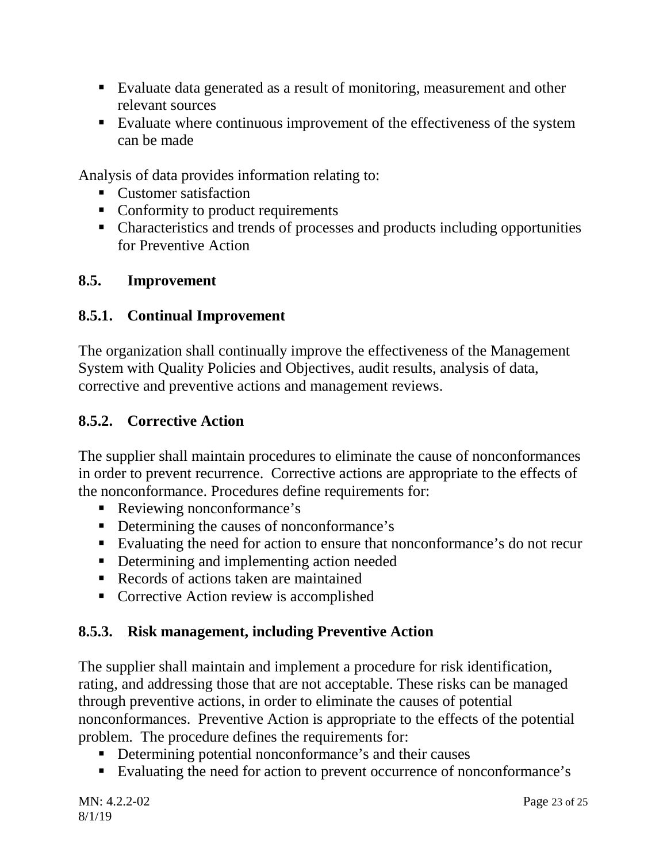- Evaluate data generated as a result of monitoring, measurement and other relevant sources
- Evaluate where continuous improvement of the effectiveness of the system can be made

Analysis of data provides information relating to:

- Customer satisfaction
- Conformity to product requirements
- Characteristics and trends of processes and products including opportunities for Preventive Action

## <span id="page-22-0"></span>**8.5. Improvement**

## <span id="page-22-1"></span>**8.5.1. Continual Improvement**

The organization shall continually improve the effectiveness of the Management System with Quality Policies and Objectives, audit results, analysis of data, corrective and preventive actions and management reviews.

# <span id="page-22-2"></span>**8.5.2. Corrective Action**

The supplier shall maintain procedures to eliminate the cause of nonconformances in order to prevent recurrence. Corrective actions are appropriate to the effects of the nonconformance. Procedures define requirements for:

- Reviewing nonconformance's
- Determining the causes of nonconformance's
- Evaluating the need for action to ensure that nonconformance's do not recur
- Determining and implementing action needed
- Records of actions taken are maintained
- Corrective Action review is accomplished

# <span id="page-22-3"></span>**8.5.3. Risk management, including Preventive Action**

The supplier shall maintain and implement a procedure for risk identification, rating, and addressing those that are not acceptable. These risks can be managed through preventive actions, in order to eliminate the causes of potential nonconformances. Preventive Action is appropriate to the effects of the potential problem. The procedure defines the requirements for:

- Determining potential nonconformance's and their causes
- Evaluating the need for action to prevent occurrence of nonconformance's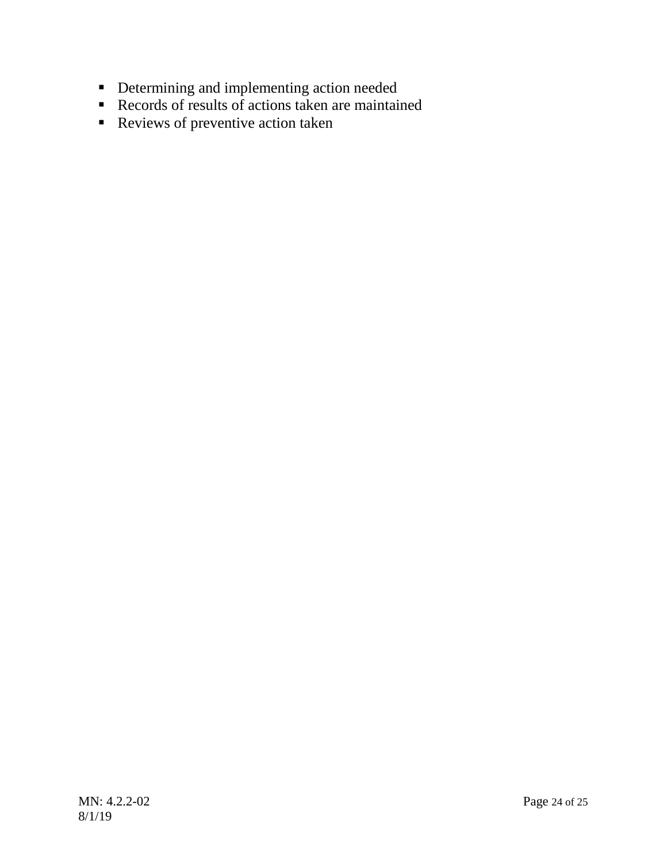- **•** Determining and implementing action needed
- Records of results of actions taken are maintained
- Reviews of preventive action taken